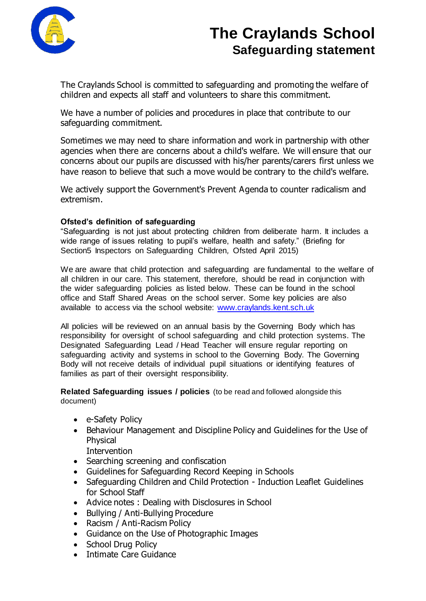

# **The Craylands School Safeguarding statement**

The Craylands School is committed to safeguarding and promoting the welfare of children and expects all staff and volunteers to share this commitment.

We have a number of policies and procedures in place that contribute to our safeguarding commitment.

Sometimes we may need to share information and work in partnership with other agencies when there are concerns about a child's welfare. We will ensure that our concerns about our pupils are discussed with his/her parents/carers first unless we have reason to believe that such a move would be contrary to the child's welfare.

We actively support the Government's Prevent Agenda to counter radicalism and extremism.

#### **Ofsted's definition of safeguarding**

"Safeguarding is not just about protecting children from deliberate harm. It includes a wide range of issues relating to pupil's welfare, health and safety." (Briefing for Section5 Inspectors on Safeguarding Children*,* Ofsted April 2015)

We are aware that child protection and safeguarding are fundamental to the welfare of all children in our care. This statement, therefore, should be read in conjunction with the wider safeguarding policies as listed below. These can be found in the school office and Staff Shared Areas on the school server. Some key policies are also available to access via the school website: [www.craylands.kent.sch.uk](http://www.craylands.kent.sch.uk/)

All policies will be reviewed on an annual basis by the Governing Body which has responsibility for oversight of school safeguarding and child protection systems. The Designated Safeguarding Lead / Head Teacher will ensure regular reporting on safeguarding activity and systems in school to the Governing Body. The Governing Body will not receive details of individual pupil situations or identifying features of families as part of their oversight responsibility.

**Related Safeguarding issues / policies** (to be read and followed alongside this document)

- e-Safety Policy
- Behaviour Management and Discipline Policy and Guidelines for the Use of Physical
	- **Intervention**
- Searching screening and confiscation
- Guidelines for Safeguarding Record Keeping in Schools
- Safeguarding Children and Child Protection Induction Leaflet Guidelines for School Staff
- Advice notes: Dealing with Disclosures in School
- Bullying / Anti-Bullying Procedure
- Racism / Anti-Racism Policy
- Guidance on the Use of Photographic Images
- School Drug Policy
- Intimate Care Guidance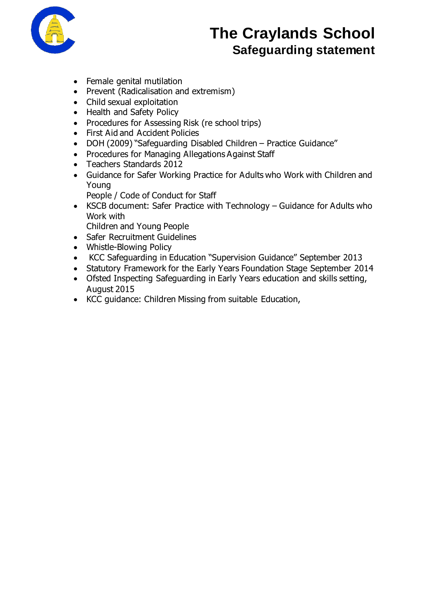

# **The Craylands School Safeguarding statement**

- Female genital mutilation
- Prevent (Radicalisation and extremism)
- Child sexual exploitation
- Health and Safety Policy
- Procedures for Assessing Risk (re school trips)
- First Aid and Accident Policies
- DOH (2009) "Safeguarding Disabled Children Practice Guidance"
- Procedures for Managing Allegations Against Staff
- Teachers Standards 2012
- Guidance for Safer Working Practice for Adults who Work with Children and Young
	- People / Code of Conduct for Staff
- KSCB document: Safer Practice with Technology Guidance for Adults who Work with
	- Children and Young People
- Safer Recruitment Guidelines
- Whistle-Blowing Policy
- KCC Safeguarding in Education "Supervision Guidance" September 2013
- Statutory Framework for the Early Years Foundation Stage September 2014
- Ofsted Inspecting Safeguarding in Early Years education and skills setting, August 2015
- KCC quidance: Children Missing from suitable Education,